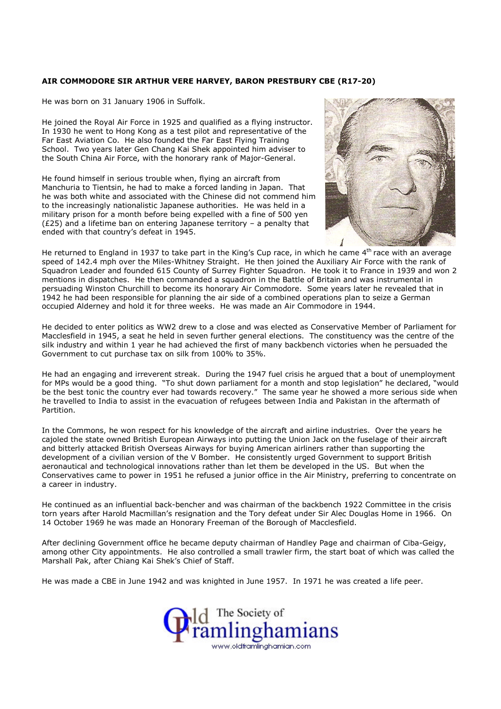## AIR COMMODORE SIR ARTHUR VERE HARVEY, BARON PRESTBURY CBE (R17-20)

He was born on 31 January 1906 in Suffolk.

He joined the Royal Air Force in 1925 and qualified as a flying instructor. In 1930 he went to Hong Kong as a test pilot and representative of the Far East Aviation Co. He also founded the Far East Flying Training School. Two years later Gen Chang Kai Shek appointed him adviser to the South China Air Force, with the honorary rank of Major-General.

He found himself in serious trouble when, flying an aircraft from Manchuria to Tientsin, he had to make a forced landing in Japan. That he was both white and associated with the Chinese did not commend him to the increasingly nationalistic Japanese authorities. He was held in a military prison for a month before being expelled with a fine of 500 yen (£25) and a lifetime ban on entering Japanese territory – a penalty that ended with that country's defeat in 1945.



He returned to England in 1937 to take part in the King's Cup race, in which he came 4<sup>th</sup> race with an average speed of 142.4 mph over the Miles-Whitney Straight. He then joined the Auxiliary Air Force with the rank of Squadron Leader and founded 615 County of Surrey Fighter Squadron. He took it to France in 1939 and won 2 mentions in dispatches. He then commanded a squadron in the Battle of Britain and was instrumental in persuading Winston Churchill to become its honorary Air Commodore. Some years later he revealed that in 1942 he had been responsible for planning the air side of a combined operations plan to seize a German occupied Alderney and hold it for three weeks. He was made an Air Commodore in 1944.

He decided to enter politics as WW2 drew to a close and was elected as Conservative Member of Parliament for Macclesfield in 1945, a seat he held in seven further general elections. The constituency was the centre of the silk industry and within 1 year he had achieved the first of many backbench victories when he persuaded the Government to cut purchase tax on silk from 100% to 35%.

He had an engaging and irreverent streak. During the 1947 fuel crisis he argued that a bout of unemployment for MPs would be a good thing. "To shut down parliament for a month and stop legislation" he declared, "would be the best tonic the country ever had towards recovery." The same year he showed a more serious side when he travelled to India to assist in the evacuation of refugees between India and Pakistan in the aftermath of Partition.

In the Commons, he won respect for his knowledge of the aircraft and airline industries. Over the years he cajoled the state owned British European Airways into putting the Union Jack on the fuselage of their aircraft and bitterly attacked British Overseas Airways for buying American airliners rather than supporting the development of a civilian version of the V Bomber. He consistently urged Government to support British aeronautical and technological innovations rather than let them be developed in the US. But when the Conservatives came to power in 1951 he refused a junior office in the Air Ministry, preferring to concentrate on a career in industry.

He continued as an influential back-bencher and was chairman of the backbench 1922 Committee in the crisis torn years after Harold Macmillan's resignation and the Tory defeat under Sir Alec Douglas Home in 1966. On 14 October 1969 he was made an Honorary Freeman of the Borough of Macclesfield.

After declining Government office he became deputy chairman of Handley Page and chairman of Ciba-Geigy, among other City appointments. He also controlled a small trawler firm, the start boat of which was called the Marshall Pak, after Chiang Kai Shek's Chief of Staff.

He was made a CBE in June 1942 and was knighted in June 1957. In 1971 he was created a life peer.